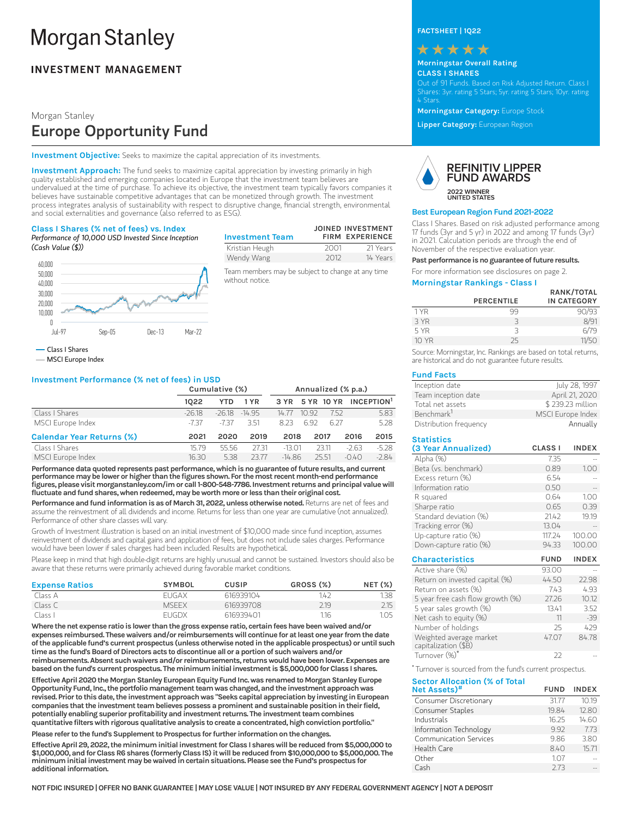# **Morgan Stanley**

### **INVESTMENT MANAGEMENT**

#### Morgan Stanley

## Europe Opportunity Fund

**Investment Objective:** Seeks to maximize the capital appreciation of its investments.

**Investment Approach:** The fund seeks to maximize capital appreciation by investing primarily in high quality established and emerging companies located in Europe that the investment team believes are undervalued at the time of purchase. To achieve its objective, the investment team typically favors companies it believes have sustainable competitive advantages that can be monetized through growth. The investment<br>process integrates analysis of sustainability with respect to disruptive change, financial strength, environmental **Investment Objective:** Seeks to maximize the capital appreciation of its investments.<br> **Investment Approach:** The fund seeks to maximize capital appreciation by investing primarily in high<br>
quality established and emergin and social externalities and governance (also referred to as ESG).

#### **Class I Shares (% net of fees) vs. Index**

*Performance of 10,000 USD Invested Since Inception (Cash Value (\$))*



**Investment Team JOINED INVESTMENT FIRM EXPERIENCE** Kristian Heugh 2001 21 Years Wendy Wang 2012 14 Years

Team members may be subject to change at any time without notice.

Class IShares

MSCI Europe Index

#### **Investment Performance (% net of fees) in USD**

|                                  | Cumulative (%) |            | Annualized (% p.a.) |          |       |       |         |                                        |
|----------------------------------|----------------|------------|---------------------|----------|-------|-------|---------|----------------------------------------|
|                                  | 1022           | <b>YTD</b> | 1 YR                |          |       |       |         | 3 YR 5 YR 10 YR INCEPTION <sup>1</sup> |
| Class I Shares                   | $-26.18$       | $-26.18$   | $-14.95$            | 14.77    | 10.92 | 752   |         | 5.83                                   |
| MSCI Europe Index                | -737           | $-737$     | 3.51                | 823      | 692   | 6.27  |         | 5.28                                   |
| <b>Calendar Year Returns (%)</b> | 2021           | 2020       | 2019                | 2018     |       | 2017  | 2016    | 2015                                   |
| Class I Shares                   | 15.79          | 55.56      | 2731                | $-13.01$ |       | 23.11 | $-2.63$ | $-5.28$                                |
| MSCI Europe Index                | 16.30          | 5.38       | 23.77               | $-14.86$ |       | 25.51 | $-0.40$ | $-284$                                 |

Performance data quoted represents past performance, which is no guarantee of future results, and current **performancemaybe lower orhigher thanthe figures shown. For themost recentmonth-endperformance figures,please visitmorganstanley.com/imor call1-800-548-7786.Investment returnsandprincipal valuewill fluctuateandfundshares,whenredeemed,maybeworthmore or less thantheir original cost.**

Performance and fund information is as of March 31, 2022, unless otherwise noted. Returns are net of fees and assume the reinvestment of all dividends and income. Returns for less than one year are cumulative (not annualized). Performance of other share classes will vary.

Growth of Investment illustration is based on an initial investment of \$10,000 made since fund inception, assumes reinvestment of dividends and capital gains and application of fees, but does not include sales charges. Performance would have been lower if sales charges had been included. Results are hypothetical.

Please keep in mind that high double-digit returns are highly unusual and cannot be sustained. Investors should also be aware that these returns were primarily achieved during favorable market conditions.

| <b>Expense Ratios</b> | <b>SYMBOL</b> | CUSIP     | GROSS (%) | <b>NET (%)</b> |
|-----------------------|---------------|-----------|-----------|----------------|
| Class A               | <b>FUGAX</b>  | 616939104 | 142       | 1.38           |
| Class C               | <b>MSFFX</b>  | 616939708 | 2.19      | 2.15           |
| Class I               | <b>FUGDX</b>  | 616939401 | 1.16      | 1.05           |

**Where thenet expense ratio is lower thanthegross expense ratio, certainfeeshavebeenwaivedand/or expenses reimbursed. Thesewaiversand/or reimbursementswill continue foratleast one year fromthedate oftheapplicable fund's currentprospectus (unless otherwisenotedintheapplicableprospectus) oruntil such timeas the fund'sBoardofDirectorsacts todiscontinueall oraportionof suchwaiversand/or reimbursements.Absent suchwaiversand/or reimbursements, returnswouldhavebeenlower.Expensesare basedonthe fund's currentprospectus. Theminimuminitialinvestmentis\$5,000,000forClass I shares.**

Effective April 2020 the Morgan Stanley European Equity Fund Inc. was renamed to Morgan Stanley Europe **Opportunity Fund,Inc.,theportfoliomanagementteamwas changed,andthe investmentapproachwas revised.Prior to thisdate,the investmentapproachwas "Seeks capitalappreciationby investinginEuropean companies thatthe investmentteambelievespossessaprominentandsustainablepositionintheir field, potentially enablingsuperiorprofitabilityandinvestment returns. The investmentteamcombines quantitative filterswithrigorousqualitativeanalysis to createaconcentrated,highconvictionportfolio."**

**Please refer to the fund's Supplement to Prospectus for further information on the changes.** 

**EffectiveApril29,2022,theminimuminitialinvestmentforClass I shareswillbe reducedfrom\$5,000,000to \$1,000,000,andforClassR6shares (formerlyClass IS) itwillbe reducedfrom\$10,000,000to\$5,000,000. The minimuminitialinvestmentmaybewaivedincertainsituations.Please see the Fund'sprospectus for additionalinformation.**

**FACTSHEET | 1Q22**



#### **Morningstar Overall Rating CLASS I SHARES**

Out of 91 Funds. Based on Risk Adjusted Return. Class I Shares: 3yr. rating 5 Stars; 5yr. rating 5 Stars; 10yr. rating 4 Stars.

**Morningstar Category:** Europe Stock

**Lipper Category:** European Region



#### **Best European Region Fund 2021-2022**

Class I Shares. Based on risk adjusted performance among 17 funds (3yr and 5 yr) in 2022 and among 17 funds (3yr) in 2021. Calculation periods are through the end of November of the respective evaluation year.

Past performance is no guarantee of future results.

For more information see disclosures on page 2.

#### **Morningstar Rankings - Class I**

|       |                   | RANK/TOTAL         |
|-------|-------------------|--------------------|
|       | <b>PERCENTILE</b> | <b>IN CATEGORY</b> |
| 1 YR  | 99                | 90/93              |
| 3 YR  | 3                 | 8/91               |
| 5 YR  | 3                 | 6/79               |
| 10 YR | 25                | 11/50              |

Source: Morningstar, Inc. Rankings are based on total returns, are historical and do not guarantee future results.

#### **Fund Facts**

| Inception date         | July 28, 1997     |
|------------------------|-------------------|
| Team inception date    | April 21, 2020    |
| Total net assets       | \$239.23 million  |
| Benchmark <sup>1</sup> | MSCI Europe Index |
| Distribution frequency | Annually          |

| <b>Statistics</b>                               |                |              |
|-------------------------------------------------|----------------|--------------|
| (3 Year Annualized)                             | <b>CLASS I</b> | <b>INDEX</b> |
| Alpha (%)                                       | 7.35           |              |
| Beta (vs. benchmark)                            | 0.89           | 1.00         |
| Excess return (%)                               | 6.54           |              |
| Information ratio                               | 0.50           |              |
| R squared                                       | 0.64           | 1.00         |
| Sharpe ratio                                    | 0.65           | 0.39         |
| Standard deviation (%)                          | 21.42          | 19.19        |
| Tracking error (%)                              | 13.04          |              |
| Up-capture ratio (%)                            | 117.24         | 100.00       |
| Down-capture ratio (%)                          | 94.33          | 100.00       |
| <b>Characteristics</b>                          | <b>FUND</b>    | <b>INDEX</b> |
| Active share (%)                                | 93.00          |              |
| Return on invested capital (%)                  | 44.50          | 22.98        |
| Return on assets (%)                            | 7.43           | 4.93         |
| 5 year free cash flow growth (%)                | 27.26          | 10.12        |
| 5 year sales growth (%)                         | 13.41          | 3.52         |
| Net cash to equity (%)                          | 11             | $-39$        |
| Number of holdings                              | 25             | 429          |
| Weighted average market<br>capitalization (\$B) | 47.07          | 84.78        |
| Turnover (%)*                                   | 22             |              |

Turnover is sourced from the fund's current prospectus. **\***

**Sector Allocation (% of Total Net Assets) FUND INDEX #**Consumer Discretionary 31.77 10.19 Consumer Staples 19.84 12.80<br>
Industrials 16.25 14.60 Industrials 16.25 14.60 Information Technology 1992 7.73<br>
Communication Services 1986 3.80

Communication Services 9.86<br>Health Care 8.40 Health Care 8.40 15.71 Other 1.07 --Cash 2.73 --

| IT FDIC INSURED I OFFER NO BANK GUARANTEE I<br>NO1 | E   MAY LOSE VALUE   NOT INSURED BY ANY FEDERAL ( | _GOVERNMENT | ' AGENCY I NOT.<br><b>A DEPOSIT</b> |
|----------------------------------------------------|---------------------------------------------------|-------------|-------------------------------------|